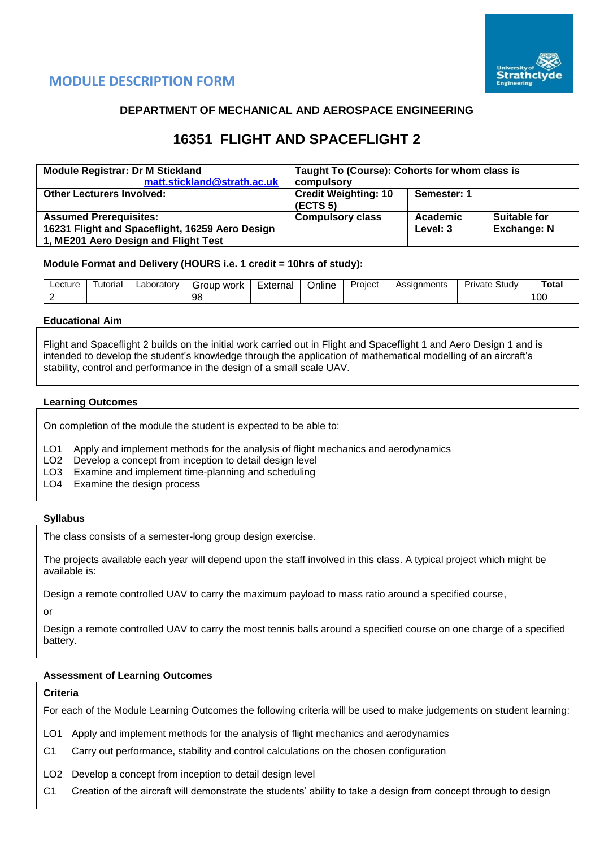



## **DEPARTMENT OF MECHANICAL AND AEROSPACE ENGINEERING**

# **16351 FLIGHT AND SPACEFLIGHT 2**

| <b>Module Registrar: Dr M Stickland</b>         | Taught To (Course): Cohorts for whom class is |             |                    |  |  |  |
|-------------------------------------------------|-----------------------------------------------|-------------|--------------------|--|--|--|
| matt.stickland@strath.ac.uk                     | compulsory                                    |             |                    |  |  |  |
| <b>Other Lecturers Involved:</b>                | <b>Credit Weighting: 10</b>                   | Semester: 1 |                    |  |  |  |
|                                                 | (ECTS <sub>5</sub> )                          |             |                    |  |  |  |
| <b>Assumed Prerequisites:</b>                   | <b>Compulsory class</b>                       | Academic    | Suitable for       |  |  |  |
| 16231 Flight and Spaceflight, 16259 Aero Design |                                               | Level: 3    | <b>Exchange: N</b> |  |  |  |
| 1, ME201 Aero Design and Flight Test            |                                               |             |                    |  |  |  |

#### **Module Format and Delivery (HOURS i.e. 1 credit = 10hrs of study):**

| Lecture | utorial | ∟aborator⊵ | work<br>Group | External | $\cdots$<br>Online | Proiect | \ssianments<br><b>ASSI</b> | Study<br>rivate | ˙ota⊦ |
|---------|---------|------------|---------------|----------|--------------------|---------|----------------------------|-----------------|-------|
|         |         |            | 98            |          |                    |         |                            |                 | 00    |

#### **Educational Aim**

Flight and Spaceflight 2 builds on the initial work carried out in Flight and Spaceflight 1 and Aero Design 1 and is intended to develop the student's knowledge through the application of mathematical modelling of an aircraft's stability, control and performance in the design of a small scale UAV.

#### **Learning Outcomes**

On completion of the module the student is expected to be able to:

- LO1 Apply and implement methods for the analysis of flight mechanics and aerodynamics
- LO2 Develop a concept from inception to detail design level
- LO3 Examine and implement time-planning and scheduling
- LO4 Examine the design process

#### **Syllabus**

The class consists of a semester-long group design exercise.

The projects available each year will depend upon the staff involved in this class. A typical project which might be available is:

Design a remote controlled UAV to carry the maximum payload to mass ratio around a specified course,

or

Design a remote controlled UAV to carry the most tennis balls around a specified course on one charge of a specified battery.

#### **Assessment of Learning Outcomes**

#### **Criteria**

For each of the Module Learning Outcomes the following criteria will be used to make judgements on student learning:

LO1 Apply and implement methods for the analysis of flight mechanics and aerodynamics

- C1 Carry out performance, stability and control calculations on the chosen configuration
- LO2 Develop a concept from inception to detail design level
- C1 Creation of the aircraft will demonstrate the students' ability to take a design from concept through to design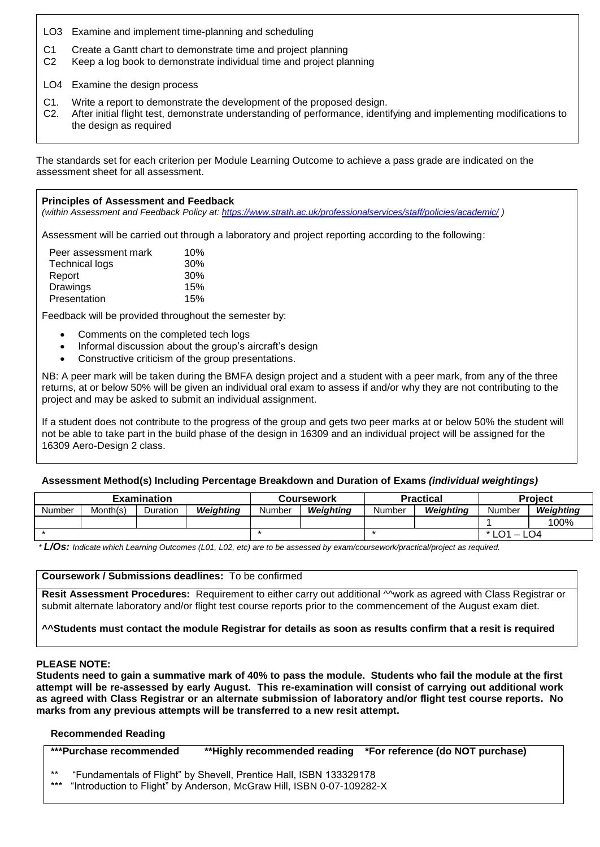- LO3 Examine and implement time-planning and scheduling
- C1 Create a Gantt chart to demonstrate time and project planning
- C2 Keep a log book to demonstrate individual time and project planning
- LO4 Examine the design process
- C1. Write a report to demonstrate the development of the proposed design.
- C2. After initial flight test, demonstrate understanding of performance, identifying and implementing modifications to the design as required

The standards set for each criterion per Module Learning Outcome to achieve a pass grade are indicated on the assessment sheet for all assessment.

#### **Principles of Assessment and Feedback**

*(within Assessment and Feedback Policy at:<https://www.strath.ac.uk/professionalservices/staff/policies/academic/> )*

Assessment will be carried out through a laboratory and project reporting according to the following:

| Peer assessment mark  | 10% |
|-----------------------|-----|
| <b>Technical logs</b> | 30% |
| Report                | 30% |
| Drawings              | 15% |
| Presentation          | 15% |

Feedback will be provided throughout the semester by:

- Comments on the completed tech logs
- Informal discussion about the group's aircraft's design
- Constructive criticism of the group presentations.

NB: A peer mark will be taken during the BMFA design project and a student with a peer mark, from any of the three returns, at or below 50% will be given an individual oral exam to assess if and/or why they are not contributing to the project and may be asked to submit an individual assignment.

If a student does not contribute to the progress of the group and gets two peer marks at or below 50% the student will not be able to take part in the build phase of the design in 16309 and an individual project will be assigned for the 16309 Aero-Design 2 class.

#### **Assessment Method(s) Including Percentage Breakdown and Duration of Exams** *(individual weightings)*

| <b>Examination</b> |          |          |           |        | Coursework |        | <b>Practical</b> | <b>Project</b> |           |
|--------------------|----------|----------|-----------|--------|------------|--------|------------------|----------------|-----------|
| <b>Number</b>      | Month(s) | Duration | Weiahtina | Number | Weiahtina  | Number | Weiahtina        | Number         | Weighting |
|                    |          |          |           |        |            |        |                  |                | 100%      |
|                    |          |          |           |        |            |        | * LO1<br>LO4     |                |           |

*\* L/Os: Indicate which Learning Outcomes (L01, L02, etc) are to be assessed by exam/coursework/practical/project as required.*

#### **Coursework / Submissions deadlines:** To be confirmed

**Resit Assessment Procedures:** Requirement to either carry out additional ^^work as agreed with Class Registrar or submit alternate laboratory and/or flight test course reports prior to the commencement of the August exam diet.

#### **^^Students must contact the module Registrar for details as soon as results confirm that a resit is required**

#### **PLEASE NOTE:**

**Students need to gain a summative mark of 40% to pass the module. Students who fail the module at the first attempt will be re-assessed by early August. This re-examination will consist of carrying out additional work as agreed with Class Registrar or an alternate submission of laboratory and/or flight test course reports. No marks from any previous attempts will be transferred to a new resit attempt.**

#### **Recommended Reading**

| ***Purchase recommended |                                                                    | **Highly recommended reading                                              | *For reference (do NOT purchase) |  |  |  |  |  |  |
|-------------------------|--------------------------------------------------------------------|---------------------------------------------------------------------------|----------------------------------|--|--|--|--|--|--|
| $***$                   | "Fundamentals of Flight" by Shevell, Prentice Hall, ISBN 133329178 |                                                                           |                                  |  |  |  |  |  |  |
|                         |                                                                    | *** "Introduction to Flight" by Anderson, McGraw Hill, ISBN 0-07-109282-X |                                  |  |  |  |  |  |  |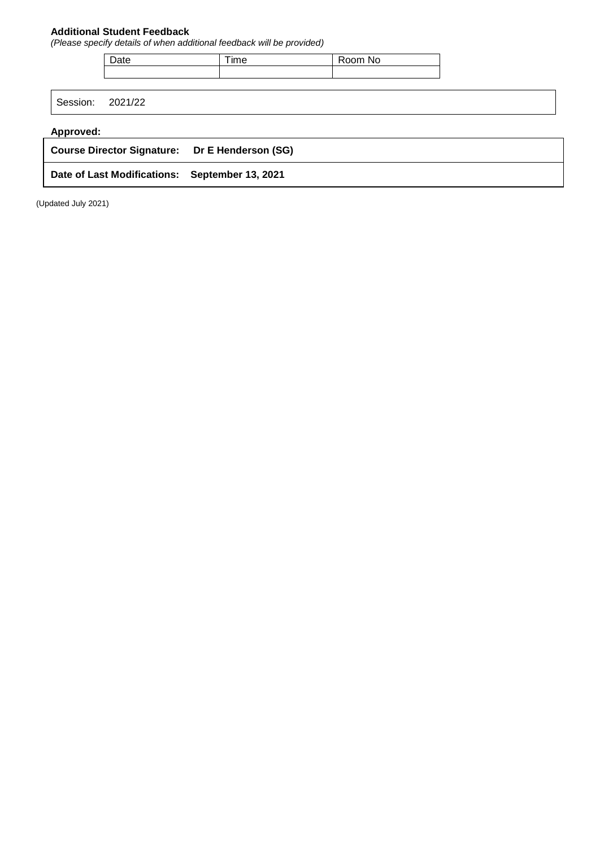### **Additional Student Feedback**

*(Please specify details of when additional feedback will be provided)*

| ะนเ | יי<br> | $\sim$<br>N0 |
|-----|--------|--------------|
|     |        |              |
|     |        |              |

Session: 2021/22

### **Approved:**

| Course Director Signature: Dr E Henderson (SG) |  |
|------------------------------------------------|--|
| Date of Last Modifications: September 13, 2021 |  |

(Updated July 2021)